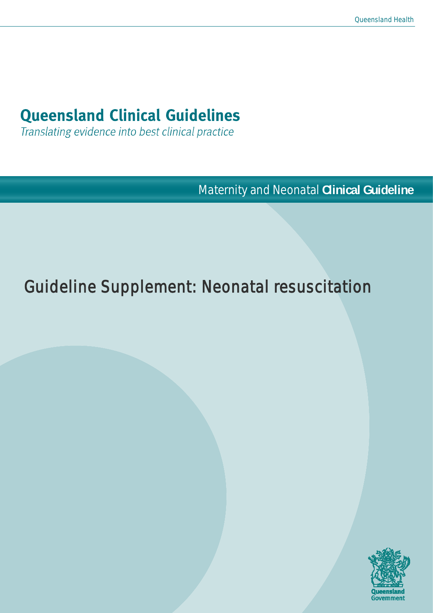# **Queensland Clinical Guidelines**

Translating evidence into best clinical practice

Maternity and Neonatal **Clinical Guideline**

# Guideline Supplement: Neonatal resuscitation

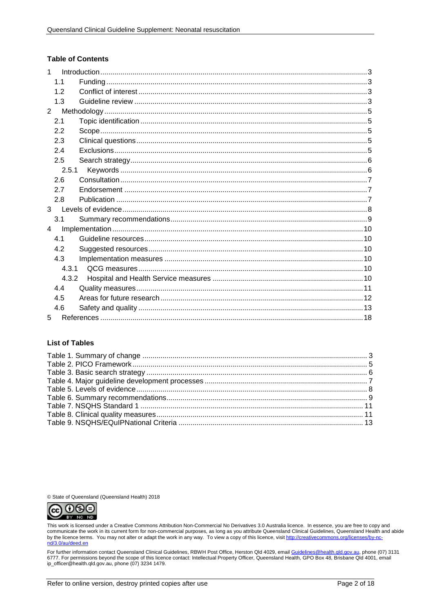#### **Table of Contents**

| $\mathbf{1}$   |       |  |
|----------------|-------|--|
|                | 1.1   |  |
|                | 1.2   |  |
|                | 1.3   |  |
| $\overline{2}$ |       |  |
|                | 2.1   |  |
|                | 2.2   |  |
|                | 2.3   |  |
|                | 2.4   |  |
|                | 2.5   |  |
|                | 2.5.1 |  |
|                | 2.6   |  |
|                | 2.7   |  |
|                | 2.8   |  |
| 3              |       |  |
|                | 3.1   |  |
| $\overline{4}$ |       |  |
|                | 4.1   |  |
|                | 4.2   |  |
|                | 4.3   |  |
|                | 4.3.1 |  |
|                | 4.3.2 |  |
|                | 4.4   |  |
|                | 4.5   |  |
|                | 4.6   |  |
| 5              |       |  |

#### **List of Tables**

© State of Queensland (Queensland Health) 2018



This work is licensed under a Creative Commons Attribution Non-Commercial No Derivatives 3.0 Australia licence. In essence, you are free to copy and communicate the work in its current form for non-commercial purposes, as long as you attribute Queensland Clinical Guidelines, Queensland Health and abide by the licence terms. You may not alter or adapt the work in any way. To view a copy of this licence, visit http://creativecommons.org/licenses/by-noe<br>۲- nd/3.0/au/deed

For further information contact Queensland Clinical Guidelines, RBWH Post Office, Herston Qld 4029, email Guidelines@health.qld.gov.au, phone (07) 3131 6777. For permissions beyond the scope of this licence contact: Intellectual Property Officer, Queensland Health, GPO Box 48, Brisbane Qld 4001, email ip\_officer@health.qld.gov.au, phone (07) 3234 1479.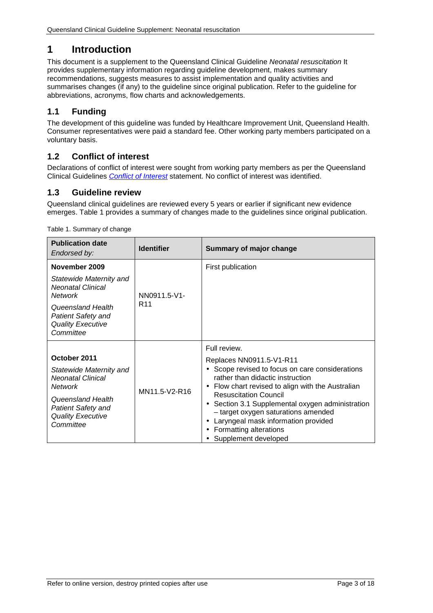# <span id="page-2-0"></span>**1 Introduction**

This document is a supplement to the Queensland Clinical Guideline *Neonatal resuscitation* It provides supplementary information regarding guideline development, makes summary recommendations, suggests measures to assist implementation and quality activities and summarises changes (if any) to the guideline since original publication. Refer to the guideline for abbreviations, acronyms, flow charts and acknowledgements.

## <span id="page-2-1"></span>**1.1 Funding**

The development of this guideline was funded by Healthcare Improvement Unit, Queensland Health. Consumer representatives were paid a standard fee. Other working party members participated on a voluntary basis.

## <span id="page-2-2"></span>**1.2 Conflict of interest**

Declarations of conflict of interest were sought from working party members as per the Queensland Clinical Guidelines *[Conflict of Interest](http://www.health.qld.gov.au/qcg/development#coi)* statement. No conflict of interest was identified.

## <span id="page-2-3"></span>**1.3 Guideline review**

Queensland clinical guidelines are reviewed every 5 years or earlier if significant new evidence emerges. [Table 1](#page-2-4) provides a summary of changes made to the guidelines since original publication.

| <b>Publication date</b><br>Endorsed by:                                                                                                                                           | <b>Identifier</b>               | Summary of major change                                                                                                                                                                                                                                                                                                                                                                                                                                  |  |
|-----------------------------------------------------------------------------------------------------------------------------------------------------------------------------------|---------------------------------|----------------------------------------------------------------------------------------------------------------------------------------------------------------------------------------------------------------------------------------------------------------------------------------------------------------------------------------------------------------------------------------------------------------------------------------------------------|--|
| November 2009<br>Statewide Maternity and<br><b>Neonatal Clinical</b><br><b>Network</b><br>Queensland Health<br><b>Patient Safety and</b><br><b>Quality Executive</b><br>Committee | NN0911.5-V1-<br>R <sub>11</sub> | First publication                                                                                                                                                                                                                                                                                                                                                                                                                                        |  |
| October 2011<br>Statewide Maternity and<br><b>Neonatal Clinical</b><br><b>Network</b><br>Queensland Health<br><b>Patient Safety and</b><br><b>Quality Executive</b><br>Committee  | MN11.5-V2-R16                   | Full review.<br>Replaces NN0911.5-V1-R11<br>Scope revised to focus on care considerations<br>rather than didactic instruction<br>Flow chart revised to align with the Australian<br><b>Resuscitation Council</b><br>Section 3.1 Supplemental oxygen administration<br>$\blacksquare$<br>- target oxygen saturations amended<br>Laryngeal mask information provided<br>$\blacksquare$<br>Formatting alterations<br>$\blacksquare$<br>Supplement developed |  |

<span id="page-2-4"></span>Table 1. Summary of change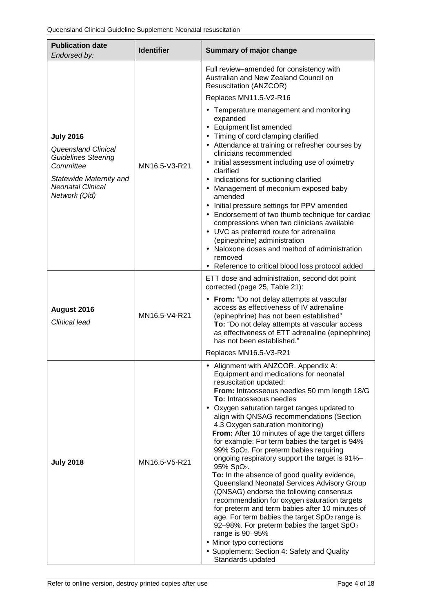| <b>Publication date</b><br>Endorsed by:                                                                                                                           | <b>Identifier</b> | <b>Summary of major change</b>                                                                                                                                                                                                                                                                                                                                                                                                                                                                                                                                                                                                                                                                                                                                                                                                                                                                                                                                                                            |  |
|-------------------------------------------------------------------------------------------------------------------------------------------------------------------|-------------------|-----------------------------------------------------------------------------------------------------------------------------------------------------------------------------------------------------------------------------------------------------------------------------------------------------------------------------------------------------------------------------------------------------------------------------------------------------------------------------------------------------------------------------------------------------------------------------------------------------------------------------------------------------------------------------------------------------------------------------------------------------------------------------------------------------------------------------------------------------------------------------------------------------------------------------------------------------------------------------------------------------------|--|
|                                                                                                                                                                   |                   | Full review-amended for consistency with<br>Australian and New Zealand Council on<br>Resuscitation (ANZCOR)                                                                                                                                                                                                                                                                                                                                                                                                                                                                                                                                                                                                                                                                                                                                                                                                                                                                                               |  |
|                                                                                                                                                                   |                   | Replaces MN11.5-V2-R16                                                                                                                                                                                                                                                                                                                                                                                                                                                                                                                                                                                                                                                                                                                                                                                                                                                                                                                                                                                    |  |
| <b>July 2016</b><br><b>Queensland Clinical</b><br><b>Guidelines Steering</b><br>Committee<br>Statewide Maternity and<br><b>Neonatal Clinical</b><br>Network (Qld) | MN16.5-V3-R21     | Temperature management and monitoring<br>expanded<br>Equipment list amended<br>Timing of cord clamping clarified<br>Attendance at training or refresher courses by<br>clinicians recommended<br>Initial assessment including use of oximetry<br>clarified<br>Indications for suctioning clarified<br>Management of meconium exposed baby<br>amended<br>Initial pressure settings for PPV amended<br>Endorsement of two thumb technique for cardiac<br>compressions when two clinicians available<br>UVC as preferred route for adrenaline<br>(epinephrine) administration<br>Naloxone doses and method of administration<br>removed<br>Reference to critical blood loss protocol added                                                                                                                                                                                                                                                                                                                    |  |
| August 2016<br>Clinical lead                                                                                                                                      | MN16.5-V4-R21     | ETT dose and administration, second dot point<br>corrected (page 25, Table 21):<br>From: "Do not delay attempts at vascular<br>access as effectiveness of IV adrenaline<br>(epinephrine) has not been established"<br>To: "Do not delay attempts at vascular access<br>as effectiveness of ETT adrenaline (epinephrine)<br>has not been established."<br>Replaces MN16.5-V3-R21                                                                                                                                                                                                                                                                                                                                                                                                                                                                                                                                                                                                                           |  |
|                                                                                                                                                                   |                   | Alignment with ANZCOR. Appendix A:                                                                                                                                                                                                                                                                                                                                                                                                                                                                                                                                                                                                                                                                                                                                                                                                                                                                                                                                                                        |  |
| <b>July 2018</b>                                                                                                                                                  | MN16.5-V5-R21     | Equipment and medications for neonatal<br>resuscitation updated:<br>From: Intraosseous needles 50 mm length 18/G<br>To: Intraosseous needles<br>Oxygen saturation target ranges updated to<br>align with QNSAG recommendations (Section<br>4.3 Oxygen saturation monitoring)<br>From: After 10 minutes of age the target differs<br>for example: For term babies the target is 94%-<br>99% SpO <sub>2</sub> . For preterm babies requiring<br>ongoing respiratory support the target is 91%-<br>95% SpO <sub>2</sub> .<br>To: In the absence of good quality evidence,<br>Queensland Neonatal Services Advisory Group<br>(QNSAG) endorse the following consensus<br>recommendation for oxygen saturation targets<br>for preterm and term babies after 10 minutes of<br>age. For term babies the target SpO <sub>2</sub> range is<br>92-98%. For preterm babies the target SpO <sub>2</sub><br>range is 90-95%<br>Minor typo corrections<br>Supplement: Section 4: Safety and Quality<br>Standards updated |  |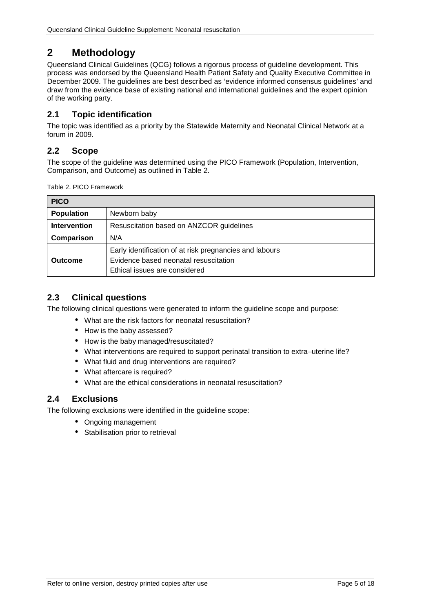# <span id="page-4-0"></span>**2 Methodology**

Queensland Clinical Guidelines (QCG) follows a rigorous process of guideline development. This process was endorsed by the Queensland Health Patient Safety and Quality Executive Committee in December 2009. The guidelines are best described as 'evidence informed consensus guidelines' and draw from the evidence base of existing national and international guidelines and the expert opinion of the working party.

## <span id="page-4-1"></span>**2.1 Topic identification**

The topic was identified as a priority by the Statewide Maternity and Neonatal Clinical Network at a forum in 2009.

## <span id="page-4-2"></span>**2.2 Scope**

The scope of the guideline was determined using the PICO Framework (Population, Intervention, Comparison, and Outcome) as outlined in [Table 2.](#page-4-5)

<span id="page-4-5"></span>Table 2. PICO Framework

| <b>PICO</b>         |                                                                                                                                   |  |  |  |
|---------------------|-----------------------------------------------------------------------------------------------------------------------------------|--|--|--|
| <b>Population</b>   | Newborn baby                                                                                                                      |  |  |  |
| <b>Intervention</b> | Resuscitation based on ANZCOR guidelines                                                                                          |  |  |  |
| Comparison          | N/A                                                                                                                               |  |  |  |
| <b>Outcome</b>      | Early identification of at risk pregnancies and labours<br>Evidence based neonatal resuscitation<br>Ethical issues are considered |  |  |  |

## <span id="page-4-3"></span>**2.3 Clinical questions**

The following clinical questions were generated to inform the guideline scope and purpose:

- What are the risk factors for neonatal resuscitation?
- How is the baby assessed?
- How is the baby managed/resuscitated?
- What interventions are required to support perinatal transition to extra–uterine life?
- What fluid and drug interventions are required?
- What aftercare is required?
- What are the ethical considerations in neonatal resuscitation?

## <span id="page-4-4"></span>**2.4 Exclusions**

The following exclusions were identified in the guideline scope:

- Ongoing management
- Stabilisation prior to retrieval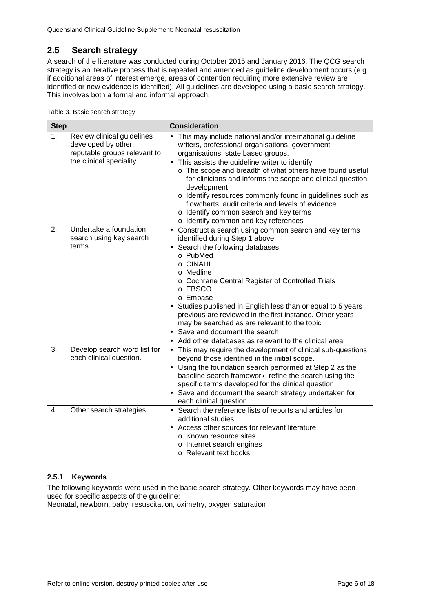## <span id="page-5-0"></span>**2.5 Search strategy**

A search of the literature was conducted during October 2015 and January 2016. The QCG search strategy is an iterative process that is repeated and amended as guideline development occurs (e.g. if additional areas of interest emerge, areas of contention requiring more extensive review are identified or new evidence is identified). All guidelines are developed using a basic search strategy. This involves both a formal and informal approach.

<span id="page-5-2"></span>

| <b>Step</b>    |                                                                                                             | <b>Consideration</b>                                                                                                                                                                                                                                                                                                                                                                                                                                                                                                                                               |  |  |
|----------------|-------------------------------------------------------------------------------------------------------------|--------------------------------------------------------------------------------------------------------------------------------------------------------------------------------------------------------------------------------------------------------------------------------------------------------------------------------------------------------------------------------------------------------------------------------------------------------------------------------------------------------------------------------------------------------------------|--|--|
| 1 <sub>1</sub> | Review clinical guidelines<br>developed by other<br>reputable groups relevant to<br>the clinical speciality | This may include national and/or international guideline<br>writers, professional organisations, government<br>organisations, state based groups.<br>This assists the guideline writer to identify:<br>$\blacksquare$<br>o The scope and breadth of what others have found useful<br>for clinicians and informs the scope and clinical question<br>development<br>o Identify resources commonly found in guidelines such as<br>flowcharts, audit criteria and levels of evidence<br>o Identify common search and key terms<br>o Identify common and key references |  |  |
| 2.             | Undertake a foundation<br>search using key search<br>terms                                                  | Construct a search using common search and key terms<br>identified during Step 1 above<br>Search the following databases<br>o PubMed<br>o CINAHL<br>o Medline<br>o Cochrane Central Register of Controlled Trials<br>o EBSCO<br>o Embase<br>Studies published in English less than or equal to 5 years<br>previous are reviewed in the first instance. Other years<br>may be searched as are relevant to the topic<br>Save and document the search<br>Add other databases as relevant to the clinical area                                                         |  |  |
| 3.             | Develop search word list for<br>each clinical question.                                                     | This may require the development of clinical sub-questions<br>$\blacksquare$<br>beyond those identified in the initial scope.<br>Using the foundation search performed at Step 2 as the<br>baseline search framework, refine the search using the<br>specific terms developed for the clinical question<br>Save and document the search strategy undertaken for<br>each clinical question                                                                                                                                                                          |  |  |
| 4.             | Other search strategies                                                                                     | Search the reference lists of reports and articles for<br>$\blacksquare$<br>additional studies<br>Access other sources for relevant literature<br>o Known resource sites<br>o Internet search engines<br>o Relevant text books                                                                                                                                                                                                                                                                                                                                     |  |  |

#### <span id="page-5-1"></span>**2.5.1 Keywords**

The following keywords were used in the basic search strategy. Other keywords may have been used for specific aspects of the guideline:

Neonatal, newborn, baby, resuscitation, oximetry, oxygen saturation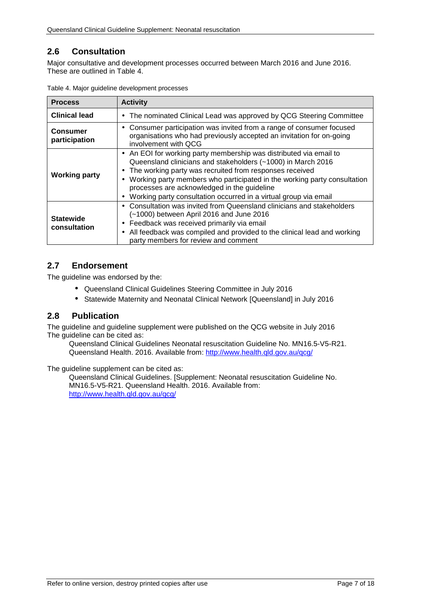## <span id="page-6-0"></span>**2.6 Consultation**

Major consultative and development processes occurred between March 2016 and June 2016. These are outlined in [Table 4.](#page-6-3)

| <b>Process</b>                   | <b>Activity</b>                                                                                                                                                                                                                                                                                                                                                                                              |  |  |
|----------------------------------|--------------------------------------------------------------------------------------------------------------------------------------------------------------------------------------------------------------------------------------------------------------------------------------------------------------------------------------------------------------------------------------------------------------|--|--|
| <b>Clinical lead</b>             | The nominated Clinical Lead was approved by QCG Steering Committee<br>$\sim$                                                                                                                                                                                                                                                                                                                                 |  |  |
| <b>Consumer</b><br>participation | Consumer participation was invited from a range of consumer focused<br>٠<br>organisations who had previously accepted an invitation for on-going<br>involvement with QCG                                                                                                                                                                                                                                     |  |  |
| <b>Working party</b>             | An EOI for working party membership was distributed via email to<br>Queensland clinicians and stakeholders (~1000) in March 2016<br>The working party was recruited from responses received<br>Working party members who participated in the working party consultation<br>processes are acknowledged in the guideline<br>Working party consultation occurred in a virtual group via email<br>$\blacksquare$ |  |  |
| <b>Statewide</b><br>consultation | Consultation was invited from Queensland clinicians and stakeholders<br>$\blacksquare$<br>(~1000) between April 2016 and June 2016<br>Feedback was received primarily via email<br>$\blacksquare$<br>All feedback was compiled and provided to the clinical lead and working<br>$\blacksquare$<br>party members for review and comment                                                                       |  |  |

<span id="page-6-3"></span>

| Table 4. Major guideline development processes |  |  |  |
|------------------------------------------------|--|--|--|
|------------------------------------------------|--|--|--|

## <span id="page-6-1"></span>**2.7 Endorsement**

The guideline was endorsed by the:

- Queensland Clinical Guidelines Steering Committee in July 2016
- Statewide Maternity and Neonatal Clinical Network [Queensland] in July 2016  $\mathbf{r}$

#### <span id="page-6-2"></span>**2.8 Publication**

The guideline and guideline supplement were published on the QCG website in July 2016 The guideline can be cited as:

Queensland Clinical Guidelines Neonatal resuscitation Guideline No. MN16.5-V5-R21. Queensland Health. 2016. Available from:<http://www.health.qld.gov.au/qcg/>

The guideline supplement can be cited as:

Queensland Clinical Guidelines. [Supplement: Neonatal resuscitation Guideline No. MN16.5-V5-R21. Queensland Health. 2016. Available from: <http://www.health.qld.gov.au/qcg/>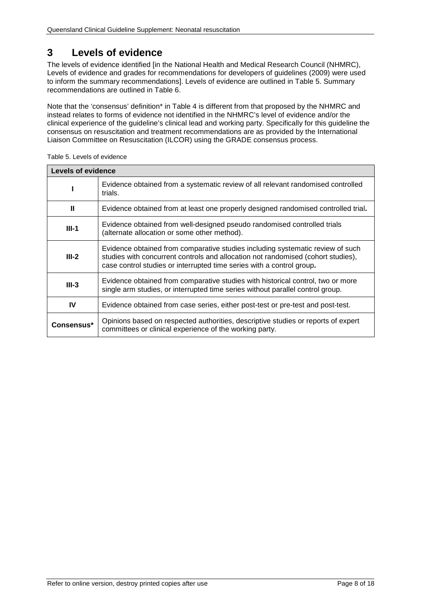# <span id="page-7-0"></span>**3 Levels of evidence**

The levels of evidence identified [in the National Health and Medical Research Council (NHMRC), Levels of evidence and grades for recommendations for developers of guidelines (2009) were used to inform the summary recommendations]. Levels of evidence are outlined in [Table 5.](#page-7-1) Summary recommendations are outlined in [Table 6.](#page-8-1)

Note that the 'consensus' definition\* in Table 4 is different from that proposed by the NHMRC and instead relates to forms of evidence not identified in the NHMRC's level of evidence and/or the clinical experience of the guideline's clinical lead and working party. Specifically for this guideline the consensus on resuscitation and treatment recommendations are as provided by the International Liaison Committee on Resuscitation (ILCOR) using the GRADE consensus process.

| <b>Levels of evidence</b>                                                               |                                                                                                                                                                                                                                             |  |  |  |
|-----------------------------------------------------------------------------------------|---------------------------------------------------------------------------------------------------------------------------------------------------------------------------------------------------------------------------------------------|--|--|--|
|                                                                                         | Evidence obtained from a systematic review of all relevant randomised controlled<br>trials.                                                                                                                                                 |  |  |  |
| Ш<br>Evidence obtained from at least one properly designed randomised controlled trial. |                                                                                                                                                                                                                                             |  |  |  |
| $III-1$                                                                                 | Evidence obtained from well-designed pseudo randomised controlled trials<br>(alternate allocation or some other method).                                                                                                                    |  |  |  |
| $III-2$                                                                                 | Evidence obtained from comparative studies including systematic review of such<br>studies with concurrent controls and allocation not randomised (cohort studies),<br>case control studies or interrupted time series with a control group. |  |  |  |
| $III-3$                                                                                 | Evidence obtained from comparative studies with historical control, two or more<br>single arm studies, or interrupted time series without parallel control group.                                                                           |  |  |  |
| IV                                                                                      | Evidence obtained from case series, either post-test or pre-test and post-test.                                                                                                                                                             |  |  |  |
| Consensus*                                                                              | Opinions based on respected authorities, descriptive studies or reports of expert<br>committees or clinical experience of the working party.                                                                                                |  |  |  |

<span id="page-7-1"></span>Table 5. Levels of evidence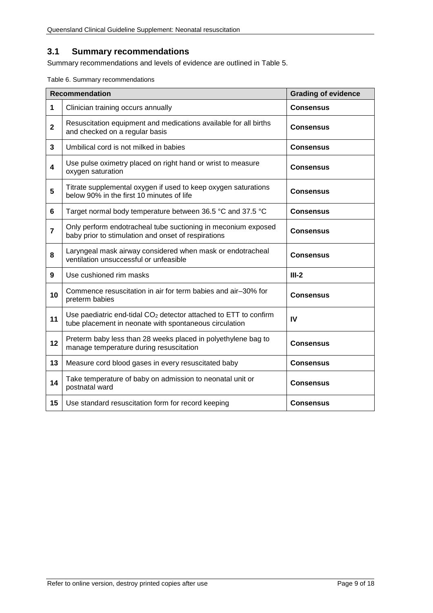#### <span id="page-8-0"></span>**3.1 Summary recommendations**

<span id="page-8-1"></span>Summary recommendations and levels of evidence are outlined in Table 5.

|  |  |  | Table 6. Summary recommendations |
|--|--|--|----------------------------------|
|--|--|--|----------------------------------|

|                | <b>Recommendation</b>                                                                                                                  | <b>Grading of evidence</b> |
|----------------|----------------------------------------------------------------------------------------------------------------------------------------|----------------------------|
| 1              | Clinician training occurs annually                                                                                                     | <b>Consensus</b>           |
| $\mathbf 2$    | Resuscitation equipment and medications available for all births<br>and checked on a regular basis                                     | <b>Consensus</b>           |
| 3              | Umbilical cord is not milked in babies                                                                                                 | <b>Consensus</b>           |
| 4              | Use pulse oximetry placed on right hand or wrist to measure<br>oxygen saturation                                                       | <b>Consensus</b>           |
| 5              | Titrate supplemental oxygen if used to keep oxygen saturations<br>below 90% in the first 10 minutes of life                            | <b>Consensus</b>           |
| 6              | Target normal body temperature between 36.5 °C and 37.5 °C                                                                             | <b>Consensus</b>           |
| $\overline{7}$ | Only perform endotracheal tube suctioning in meconium exposed<br>baby prior to stimulation and onset of respirations                   | <b>Consensus</b>           |
| 8              | Laryngeal mask airway considered when mask or endotracheal<br>ventilation unsuccessful or unfeasible                                   | <b>Consensus</b>           |
| 9              | Use cushioned rim masks                                                                                                                | $III-2$                    |
| 10             | Commence resuscitation in air for term babies and air-30% for<br>preterm babies                                                        | <b>Consensus</b>           |
| 11             | Use paediatric end-tidal CO <sub>2</sub> detector attached to ETT to confirm<br>tube placement in neonate with spontaneous circulation | IV                         |
| 12             | Preterm baby less than 28 weeks placed in polyethylene bag to<br>manage temperature during resuscitation                               | <b>Consensus</b>           |
| 13             | Measure cord blood gases in every resuscitated baby                                                                                    | <b>Consensus</b>           |
| 14             | Take temperature of baby on admission to neonatal unit or<br>postnatal ward                                                            | <b>Consensus</b>           |
| 15             | Use standard resuscitation form for record keeping                                                                                     | <b>Consensus</b>           |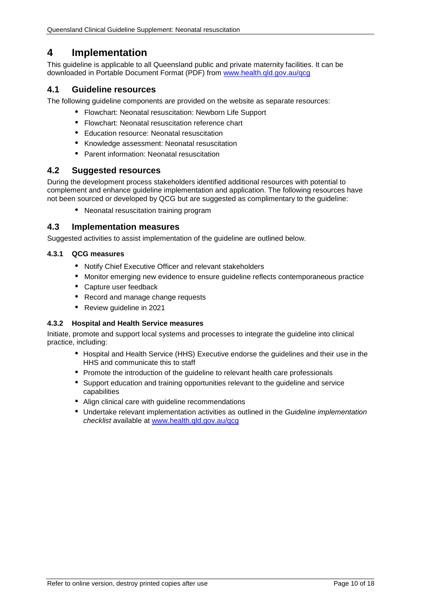## <span id="page-9-0"></span>**4 Implementation**

This guideline is applicable to all Queensland public and private maternity facilities. It can be downloaded in Portable Document Format (PDF) from [www.health.qld.gov.au/qcg](http://www.health.qld.gov.au/qcg)

#### <span id="page-9-1"></span>**4.1 Guideline resources**

The following guideline components are provided on the website as separate resources:

- Flowchart: Neonatal resuscitation: Newborn Life Support
- Flowchart: Neonatal resuscitation reference chart
- Education resource: Neonatal resuscitation
- Knowledge assessment: Neonatal resuscitation
- Parent information: Neonatal resuscitation

#### <span id="page-9-2"></span>**4.2 Suggested resources**

During the development process stakeholders identified additional resources with potential to complement and enhance guideline implementation and application. The following resources have not been sourced or developed by QCG but are suggested as complimentary to the guideline:

Neonatal resuscitation training program

#### <span id="page-9-3"></span>**4.3 Implementation measures**

Suggested activities to assist implementation of the guideline are outlined below.

#### <span id="page-9-4"></span>**4.3.1 QCG measures**

- Notify Chief Executive Officer and relevant stakeholders
- Monitor emerging new evidence to ensure guideline reflects contemporaneous practice
- Capture user feedback
- $\mathbf{r}$ Record and manage change requests
- Review guideline in 2021

#### <span id="page-9-5"></span>**4.3.2 Hospital and Health Service measures**

Initiate, promote and support local systems and processes to integrate the guideline into clinical practice, including:

- Hospital and Health Service (HHS) Executive endorse the guidelines and their use in the HHS and communicate this to staff
- Promote the introduction of the guideline to relevant health care professionals
- Support education and training opportunities relevant to the guideline and service capabilities
- Align clinical care with guideline recommendations
- Undertake relevant implementation activities as outlined in the *Guideline implementation checklist* available at [www.health.qld.gov.au/qcg](http://www.health.qld.gov.au/qcg)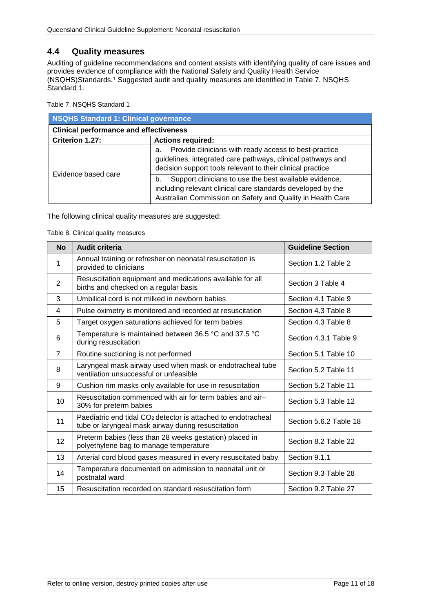#### <span id="page-10-0"></span>**4.4 Quality measures**

Auditing of guideline recommendations and content assists with identifying quality of care issues and provides evidence of compliance with the National Safety and Quality Health Service (NSQHS)Standards. <sup>1</sup> Suggested audit and quality measures are identified in [Table 7. NSQHS](#page-10-1)  [Standard 1.](#page-10-1)

<span id="page-10-1"></span>Table 7. NSQHS Standard 1

| NSQHS Standard 1: Clinical governance         |                                                                                                                                                                                           |  |  |  |
|-----------------------------------------------|-------------------------------------------------------------------------------------------------------------------------------------------------------------------------------------------|--|--|--|
| <b>Clinical performance and effectiveness</b> |                                                                                                                                                                                           |  |  |  |
| Criterion 1.27:                               | <b>Actions required:</b>                                                                                                                                                                  |  |  |  |
|                                               | Provide clinicians with ready access to best-practice<br>а.<br>guidelines, integrated care pathways, clinical pathways and<br>decision support tools relevant to their clinical practice  |  |  |  |
| Evidence based care                           | Support clinicians to use the best available evidence,<br>b.<br>including relevant clinical care standards developed by the<br>Australian Commission on Safety and Quality in Health Care |  |  |  |

<span id="page-10-2"></span>The following clinical quality measures are suggested:

#### Table 8. Clinical quality measures

| <b>No</b>      | <b>Audit criteria</b>                                                                                                           | <b>Guideline Section</b> |
|----------------|---------------------------------------------------------------------------------------------------------------------------------|--------------------------|
| 1              | Annual training or refresher on neonatal resuscitation is<br>provided to clinicians                                             | Section 1.2 Table 2      |
| $\overline{2}$ | Resuscitation equipment and medications available for all<br>births and checked on a regular basis                              | Section 3 Table 4        |
| 3              | Umbilical cord is not milked in newborn babies                                                                                  | Section 4.1 Table 9      |
| 4              | Pulse oximetry is monitored and recorded at resuscitation                                                                       | Section 4.3 Table 8      |
| 5              | Target oxygen saturations achieved for term babies                                                                              | Section 4.3 Table 8      |
| 6              | Temperature is maintained between 36.5 °C and 37.5 °C<br>during resuscitation                                                   | Section 4.3.1 Table 9    |
| $\overline{7}$ | Routine suctioning is not performed                                                                                             | Section 5.1 Table 10     |
| 8              | Laryngeal mask airway used when mask or endotracheal tube<br>ventilation unsuccessful or unfeasible                             | Section 5.2 Table 11     |
| 9              | Cushion rim masks only available for use in resuscitation                                                                       | Section 5.2 Table 11     |
| 10             | Resuscitation commenced with air for term babies and air-<br>30% for preterm babies                                             | Section 5.3 Table 12     |
| 11             | Paediatric end tidal CO <sub>2</sub> detector is attached to endotracheal<br>tube or laryngeal mask airway during resuscitation | Section 5.6.2 Table 18   |
| 12             | Preterm babies (less than 28 weeks gestation) placed in<br>polyethylene bag to manage temperature                               | Section 8.2 Table 22     |
| 13             | Arterial cord blood gases measured in every resuscitated baby                                                                   | Section 9.1.1            |
| 14             | Temperature documented on admission to neonatal unit or<br>postnatal ward                                                       | Section 9.3 Table 28     |
| 15             | Resuscitation recorded on standard resuscitation form                                                                           | Section 9.2 Table 27     |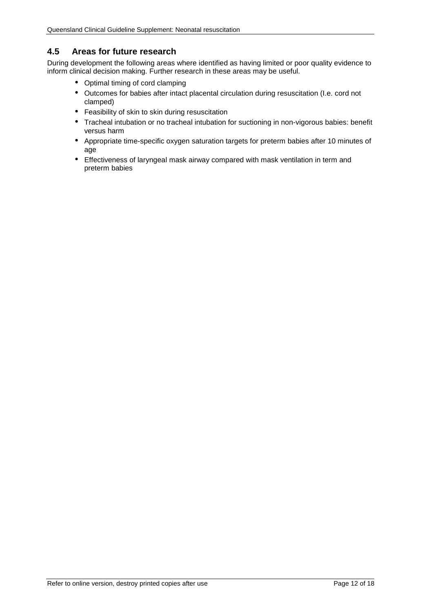#### <span id="page-11-0"></span>**4.5 Areas for future research**

During development the following areas where identified as having limited or poor quality evidence to inform clinical decision making. Further research in these areas may be useful.

- Optimal timing of cord clamping  $\mathbf{r}$
- Outcomes for babies after intact placental circulation during resuscitation (I.e. cord not  $\mathbf{r}$ clamped)
- Feasibility of skin to skin during resuscitation
- Tracheal intubation or no tracheal intubation for suctioning in non-vigorous babies: benefit versus harm
- Appropriate time-specific oxygen saturation targets for preterm babies after 10 minutes of age
- Effectiveness of laryngeal mask airway compared with mask ventilation in term and  $\sim$ preterm babies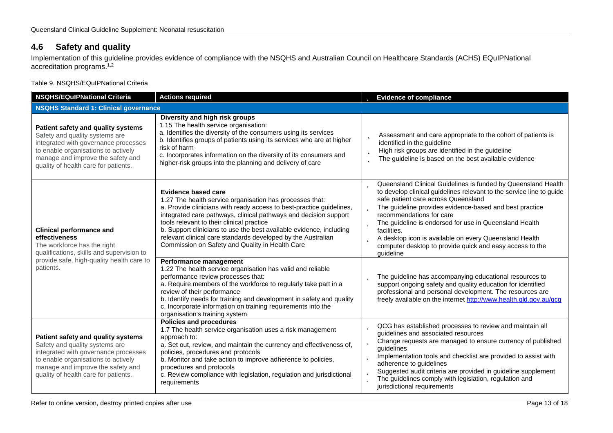## **4.6 Safety and quality**

Implementation of this guideline provides evidence of compliance with the NSQHS and Australian Council on Healthcare Standards (ACHS) EQuIPNational accreditation programs. 1,2

Table 9. NSQHS/EQuIPNational Criteria

<span id="page-12-1"></span><span id="page-12-0"></span>

| <b>Actions required</b><br><b>NSQHS/EQuIPNational Criteria</b>                                                                                                                                                                   |                                                                                                                                                                                                                                                                                                                                                                                                                                                                                                                                                                                                                                                                             | <b>b</b> Evidence of compliance                                                                                                                                                                                                                                                                                                                                                                                                                                                                                                                                                                                              |  |
|----------------------------------------------------------------------------------------------------------------------------------------------------------------------------------------------------------------------------------|-----------------------------------------------------------------------------------------------------------------------------------------------------------------------------------------------------------------------------------------------------------------------------------------------------------------------------------------------------------------------------------------------------------------------------------------------------------------------------------------------------------------------------------------------------------------------------------------------------------------------------------------------------------------------------|------------------------------------------------------------------------------------------------------------------------------------------------------------------------------------------------------------------------------------------------------------------------------------------------------------------------------------------------------------------------------------------------------------------------------------------------------------------------------------------------------------------------------------------------------------------------------------------------------------------------------|--|
| <b>NSQHS Standard 1: Clinical governance</b>                                                                                                                                                                                     |                                                                                                                                                                                                                                                                                                                                                                                                                                                                                                                                                                                                                                                                             |                                                                                                                                                                                                                                                                                                                                                                                                                                                                                                                                                                                                                              |  |
| Patient safety and quality systems<br>Safety and quality systems are<br>integrated with governance processes<br>to enable organisations to actively<br>manage and improve the safety and<br>quality of health care for patients. | Diversity and high risk groups<br>1.15 The health service organisation:<br>a. Identifies the diversity of the consumers using its services<br>b. Identifies groups of patients using its services who are at higher<br>risk of harm<br>c. Incorporates information on the diversity of its consumers and<br>higher-risk groups into the planning and delivery of care                                                                                                                                                                                                                                                                                                       | Assessment and care appropriate to the cohort of patients is<br>þ<br>identified in the guideline<br>High risk groups are identified in the guideline<br>þ<br>The guideline is based on the best available evidence<br>b                                                                                                                                                                                                                                                                                                                                                                                                      |  |
| <b>Clinical performance and</b><br>effectiveness<br>The workforce has the right<br>qualifications, skills and supervision to<br>provide safe, high-quality health care to<br>patients.                                           | <b>Evidence based care</b><br>1.27 The health service organisation has processes that:<br>a. Provide clinicians with ready access to best-practice guidelines,<br>integrated care pathways, clinical pathways and decision support<br>tools relevant to their clinical practice<br>b. Support clinicians to use the best available evidence, including<br>relevant clinical care standards developed by the Australian<br>Commission on Safety and Quality in Health Care<br>Performance management<br>1.22 The health service organisation has valid and reliable<br>performance review processes that:<br>a. Require members of the workforce to regularly take part in a | Queensland Clinical Guidelines is funded by Queensland Health<br>b<br>to develop clinical guidelines relevant to the service line to guide<br>safe patient care across Queensland<br>The guideline provides evidence-based and best practice<br>recommendations for care<br><b>D</b> The guideline is endorsed for use in Queensland Health<br>facilities.<br>A desktop icon is available on every Queensland Health<br>computer desktop to provide quick and easy access to the<br>quideline<br>The guideline has accompanying educational resources to<br>Þ<br>support ongoing safety and quality education for identified |  |
|                                                                                                                                                                                                                                  | review of their performance<br>b. Identify needs for training and development in safety and quality<br>c. Incorporate information on training requirements into the<br>organisation's training system                                                                                                                                                                                                                                                                                                                                                                                                                                                                       | professional and personal development. The resources are<br>freely available on the internet http://www.health.qld.gov.au/qcg                                                                                                                                                                                                                                                                                                                                                                                                                                                                                                |  |
| Patient safety and quality systems<br>Safety and quality systems are<br>integrated with governance processes<br>to enable organisations to actively<br>manage and improve the safety and<br>quality of health care for patients. | <b>Policies and procedures</b><br>1.7 The health service organisation uses a risk management<br>approach to:<br>a. Set out, review, and maintain the currency and effectiveness of,<br>policies, procedures and protocols<br>b. Monitor and take action to improve adherence to policies,<br>procedures and protocols<br>c. Review compliance with legislation, regulation and jurisdictional<br>requirements                                                                                                                                                                                                                                                               | QCG has established processes to review and maintain all<br>Þ<br>guidelines and associated resources<br><b>b</b> Change requests are managed to ensure currency of published<br>guidelines<br><b>p</b> Implementation tools and checklist are provided to assist with<br>adherence to guidelines<br>Suggested audit criteria are provided in guideline supplement<br>þ<br>The guidelines comply with legislation, regulation and<br>b<br>jurisdictional requirements                                                                                                                                                         |  |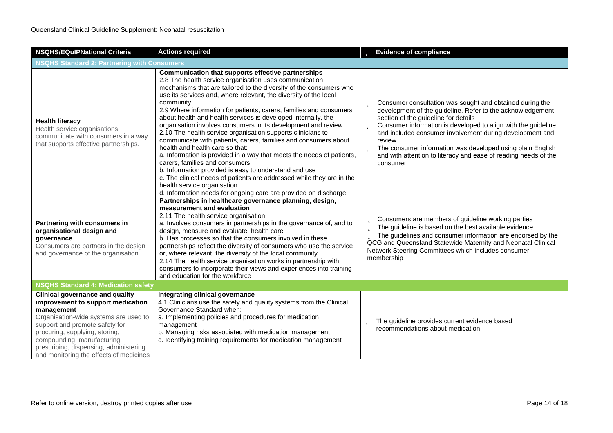| <b>NSQHS/EQuIPNational Criteria</b>                                                                                                                                                                                                                                                                                        | <b>Actions required</b>                                                                                                                                                                                                                                                                                                                                                                                                                                                                                                                                                                                                                                                                                                                                                                                                                                                                                                                                                                         | <b>b</b> Evidence of compliance                                                                                                                                                                                                                                                                                                                                                                                                                                           |  |
|----------------------------------------------------------------------------------------------------------------------------------------------------------------------------------------------------------------------------------------------------------------------------------------------------------------------------|-------------------------------------------------------------------------------------------------------------------------------------------------------------------------------------------------------------------------------------------------------------------------------------------------------------------------------------------------------------------------------------------------------------------------------------------------------------------------------------------------------------------------------------------------------------------------------------------------------------------------------------------------------------------------------------------------------------------------------------------------------------------------------------------------------------------------------------------------------------------------------------------------------------------------------------------------------------------------------------------------|---------------------------------------------------------------------------------------------------------------------------------------------------------------------------------------------------------------------------------------------------------------------------------------------------------------------------------------------------------------------------------------------------------------------------------------------------------------------------|--|
| <b>NSQHS Standard 2: Partnering with Consumers</b>                                                                                                                                                                                                                                                                         |                                                                                                                                                                                                                                                                                                                                                                                                                                                                                                                                                                                                                                                                                                                                                                                                                                                                                                                                                                                                 |                                                                                                                                                                                                                                                                                                                                                                                                                                                                           |  |
| <b>Health literacy</b><br>Health service organisations<br>communicate with consumers in a way<br>that supports effective partnerships.                                                                                                                                                                                     | Communication that supports effective partnerships<br>2.8 The health service organisation uses communication<br>mechanisms that are tailored to the diversity of the consumers who<br>use its services and, where relevant, the diversity of the local<br>community<br>2.9 Where information for patients, carers, families and consumers<br>about health and health services is developed internally, the<br>organisation involves consumers in its development and review<br>2.10 The health service organisation supports clinicians to<br>communicate with patients, carers, families and consumers about<br>health and health care so that:<br>a. Information is provided in a way that meets the needs of patients,<br>carers, families and consumers<br>b. Information provided is easy to understand and use<br>c. The clinical needs of patients are addressed while they are in the<br>health service organisation<br>d. Information needs for ongoing care are provided on discharge | <b>b</b> Consumer consultation was sought and obtained during the<br>development of the guideline. Refer to the acknowledgement<br>section of the guideline for details<br>Consumer information is developed to align with the guideline<br>þ<br>and included consumer involvement during development and<br>review<br><b>b</b> The consumer information was developed using plain English<br>and with attention to literacy and ease of reading needs of the<br>consumer |  |
| Partnering with consumers in<br>organisational design and<br>qovernance<br>Consumers are partners in the design<br>and governance of the organisation.                                                                                                                                                                     | Partnerships in healthcare governance planning, design,<br>measurement and evaluation<br>2.11 The health service organisation:<br>a. Involves consumers in partnerships in the governance of, and to<br>design, measure and evaluate, health care<br>b. Has processes so that the consumers involved in these<br>partnerships reflect the diversity of consumers who use the service<br>or, where relevant, the diversity of the local community<br>2.14 The health service organisation works in partnership with<br>consumers to incorporate their views and experiences into training<br>and education for the workforce                                                                                                                                                                                                                                                                                                                                                                     | <b>b</b> Consumers are members of guideline working parties<br><b>b</b> The guideline is based on the best available evidence<br>The guidelines and consumer information are endorsed by the<br>QCG and Queensland Statewide Maternity and Neonatal Clinical<br>Network Steering Committees which includes consumer<br>membership                                                                                                                                         |  |
| <b>NSQHS Standard 4: Medication safety</b>                                                                                                                                                                                                                                                                                 |                                                                                                                                                                                                                                                                                                                                                                                                                                                                                                                                                                                                                                                                                                                                                                                                                                                                                                                                                                                                 |                                                                                                                                                                                                                                                                                                                                                                                                                                                                           |  |
| <b>Clinical governance and quality</b><br>improvement to support medication<br>management<br>Organisation-wide systems are used to<br>support and promote safety for<br>procuring, supplying, storing,<br>compounding, manufacturing,<br>prescribing, dispensing, administering<br>and monitoring the effects of medicines | Integrating clinical governance<br>4.1 Clinicians use the safety and quality systems from the Clinical<br>Governance Standard when:<br>a. Implementing policies and procedures for medication<br>management<br>b. Managing risks associated with medication management<br>c. Identifying training requirements for medication management                                                                                                                                                                                                                                                                                                                                                                                                                                                                                                                                                                                                                                                        | The guideline provides current evidence based<br>recommendations about medication                                                                                                                                                                                                                                                                                                                                                                                         |  |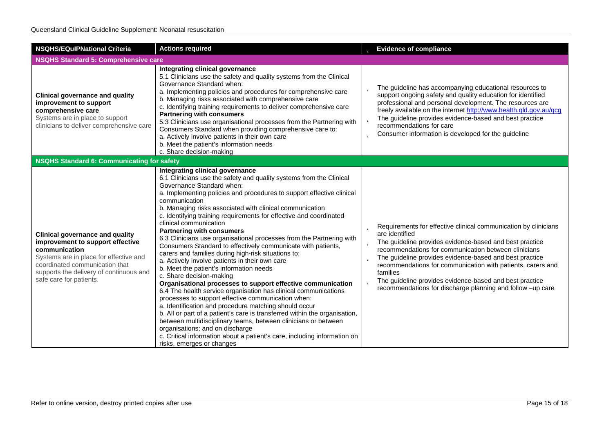| <b>NSQHS/EQuIPNational Criteria</b><br><b>Actions required</b>                                                                                                                                                                                |                                                                                                                                                                                                                                                                                                                                                                                                                                                                                                                                                                                                                                                                                                                                                                                                                                                                                                                                                                                                                                                                                                                                                                                                                                                                                                    | <b>b</b> Evidence of compliance                                                                                                                                                                                                                                                                                                                                                                                                                                                                         |
|-----------------------------------------------------------------------------------------------------------------------------------------------------------------------------------------------------------------------------------------------|----------------------------------------------------------------------------------------------------------------------------------------------------------------------------------------------------------------------------------------------------------------------------------------------------------------------------------------------------------------------------------------------------------------------------------------------------------------------------------------------------------------------------------------------------------------------------------------------------------------------------------------------------------------------------------------------------------------------------------------------------------------------------------------------------------------------------------------------------------------------------------------------------------------------------------------------------------------------------------------------------------------------------------------------------------------------------------------------------------------------------------------------------------------------------------------------------------------------------------------------------------------------------------------------------|---------------------------------------------------------------------------------------------------------------------------------------------------------------------------------------------------------------------------------------------------------------------------------------------------------------------------------------------------------------------------------------------------------------------------------------------------------------------------------------------------------|
| <b>NSQHS Standard 5: Comprehensive care</b>                                                                                                                                                                                                   |                                                                                                                                                                                                                                                                                                                                                                                                                                                                                                                                                                                                                                                                                                                                                                                                                                                                                                                                                                                                                                                                                                                                                                                                                                                                                                    |                                                                                                                                                                                                                                                                                                                                                                                                                                                                                                         |
| <b>Clinical governance and quality</b><br>improvement to support<br>comprehensive care<br>Systems are in place to support<br>clinicians to deliver comprehensive care                                                                         | Integrating clinical governance<br>5.1 Clinicians use the safety and quality systems from the Clinical<br>Governance Standard when:<br>a. Implementing policies and procedures for comprehensive care<br>b. Managing risks associated with comprehensive care<br>c. Identifying training requirements to deliver comprehensive care<br><b>Partnering with consumers</b><br>5.3 Clinicians use organisational processes from the Partnering with<br>Consumers Standard when providing comprehensive care to:<br>a. Actively involve patients in their own care<br>b. Meet the patient's information needs<br>c. Share decision-making                                                                                                                                                                                                                                                                                                                                                                                                                                                                                                                                                                                                                                                               | <b>b</b> The guideline has accompanying educational resources to<br>support ongoing safety and quality education for identified<br>professional and personal development. The resources are<br>freely available on the internet http://www.health.qld.gov.au/qcg<br><b>b</b> The guideline provides evidence-based and best practice<br>recommendations for care<br><b>b</b> Consumer information is developed for the guideline                                                                        |
| <b>NSQHS Standard 6: Communicating for safety</b>                                                                                                                                                                                             |                                                                                                                                                                                                                                                                                                                                                                                                                                                                                                                                                                                                                                                                                                                                                                                                                                                                                                                                                                                                                                                                                                                                                                                                                                                                                                    |                                                                                                                                                                                                                                                                                                                                                                                                                                                                                                         |
| <b>Clinical governance and quality</b><br>improvement to support effective<br>communication<br>Systems are in place for effective and<br>coordinated communication that<br>supports the delivery of continuous and<br>safe care for patients. | Integrating clinical governance<br>6.1 Clinicians use the safety and quality systems from the Clinical<br>Governance Standard when:<br>a. Implementing policies and procedures to support effective clinical<br>communication<br>b. Managing risks associated with clinical communication<br>c. Identifying training requirements for effective and coordinated<br>clinical communication<br><b>Partnering with consumers</b><br>6.3 Clinicians use organisational processes from the Partnering with<br>Consumers Standard to effectively communicate with patients,<br>carers and families during high-risk situations to:<br>a. Actively involve patients in their own care<br>b. Meet the patient's information needs<br>c. Share decision-making<br>Organisational processes to support effective communication<br>6.4 The health service organisation has clinical communications<br>processes to support effective communication when:<br>a. Identification and procedure matching should occur<br>b. All or part of a patient's care is transferred within the organisation,<br>between multidisciplinary teams, between clinicians or between<br>organisations; and on discharge<br>c. Critical information about a patient's care, including information on<br>risks, emerges or changes | <b>b</b> Requirements for effective clinical communication by clinicians<br>are identified<br><b>b</b> The guideline provides evidence-based and best practice<br>recommendations for communication between clinicians<br><b>b</b> The guideline provides evidence-based and best practice<br>recommendations for communication with patients, carers and<br>families<br><b>b</b> The guideline provides evidence-based and best practice<br>recommendations for discharge planning and follow -up care |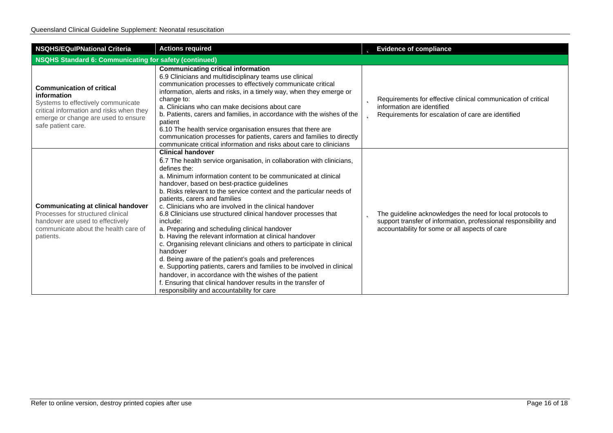| <b>NSQHS/EQulPNational Criteria</b><br><b>Actions required</b>                                                                                                                                 |                                                                                                                                                                                                                                                                                                                                                                                                                                                                                                                                                                                                                                                                                                                                                                                                                                                                                                                                                                                                     |  | <b>b</b> Evidence of compliance                                                                                                                                                  |
|------------------------------------------------------------------------------------------------------------------------------------------------------------------------------------------------|-----------------------------------------------------------------------------------------------------------------------------------------------------------------------------------------------------------------------------------------------------------------------------------------------------------------------------------------------------------------------------------------------------------------------------------------------------------------------------------------------------------------------------------------------------------------------------------------------------------------------------------------------------------------------------------------------------------------------------------------------------------------------------------------------------------------------------------------------------------------------------------------------------------------------------------------------------------------------------------------------------|--|----------------------------------------------------------------------------------------------------------------------------------------------------------------------------------|
| NSQHS Standard 6: Communicating for safety (continued)                                                                                                                                         |                                                                                                                                                                                                                                                                                                                                                                                                                                                                                                                                                                                                                                                                                                                                                                                                                                                                                                                                                                                                     |  |                                                                                                                                                                                  |
| <b>Communication of critical</b><br>information<br>Systems to effectively communicate<br>critical information and risks when they<br>emerge or change are used to ensure<br>safe patient care. | <b>Communicating critical information</b><br>6.9 Clinicians and multidisciplinary teams use clinical<br>communication processes to effectively communicate critical<br>information, alerts and risks, in a timely way, when they emerge or<br>change to:<br>a. Clinicians who can make decisions about care<br>b. Patients, carers and families, in accordance with the wishes of the<br>patient<br>6.10 The health service organisation ensures that there are<br>communication processes for patients, carers and families to directly<br>communicate critical information and risks about care to clinicians                                                                                                                                                                                                                                                                                                                                                                                     |  | <b>D</b> Requirements for effective clinical communication of critical<br>information are identified<br><b>D</b> Requirements for escalation of care are identified              |
| <b>Communicating at clinical handover</b><br>Processes for structured clinical<br>handover are used to effectively<br>communicate about the health care of<br>patients.                        | <b>Clinical handover</b><br>6.7 The health service organisation, in collaboration with clinicians,<br>defines the:<br>a. Minimum information content to be communicated at clinical<br>handover, based on best-practice guidelines<br>b. Risks relevant to the service context and the particular needs of<br>patients, carers and families<br>c. Clinicians who are involved in the clinical handover<br>6.8 Clinicians use structured clinical handover processes that<br>include:<br>a. Preparing and scheduling clinical handover<br>b. Having the relevant information at clinical handover<br>c. Organising relevant clinicians and others to participate in clinical<br>handover<br>d. Being aware of the patient's goals and preferences<br>e. Supporting patients, carers and families to be involved in clinical<br>handover, in accordance with the wishes of the patient<br>f. Ensuring that clinical handover results in the transfer of<br>responsibility and accountability for care |  | The guideline acknowledges the need for local protocols to<br>support transfer of information, professional responsibility and<br>accountability for some or all aspects of care |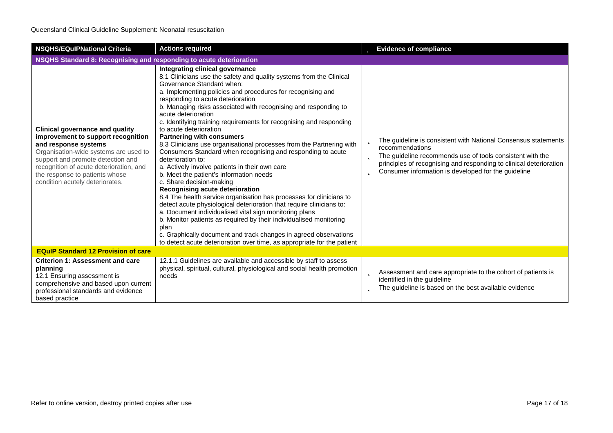| <b>NSQHS/EQulPNational Criteria</b>                                                                                                                                                                                                                                                                | <b>Actions required</b>                                                                                                                                                                                                                                                                                                                                                                                                                                                                                                                                                                                                                                                                                                                                                                                                                                                                                                                                                                                                                                                                                                                                                                                                              | <b>b</b> Evidence of compliance                                                                                                                                                                                                                                                       |  |
|----------------------------------------------------------------------------------------------------------------------------------------------------------------------------------------------------------------------------------------------------------------------------------------------------|--------------------------------------------------------------------------------------------------------------------------------------------------------------------------------------------------------------------------------------------------------------------------------------------------------------------------------------------------------------------------------------------------------------------------------------------------------------------------------------------------------------------------------------------------------------------------------------------------------------------------------------------------------------------------------------------------------------------------------------------------------------------------------------------------------------------------------------------------------------------------------------------------------------------------------------------------------------------------------------------------------------------------------------------------------------------------------------------------------------------------------------------------------------------------------------------------------------------------------------|---------------------------------------------------------------------------------------------------------------------------------------------------------------------------------------------------------------------------------------------------------------------------------------|--|
| NSQHS Standard 8: Recognising and responding to acute deterioration                                                                                                                                                                                                                                |                                                                                                                                                                                                                                                                                                                                                                                                                                                                                                                                                                                                                                                                                                                                                                                                                                                                                                                                                                                                                                                                                                                                                                                                                                      |                                                                                                                                                                                                                                                                                       |  |
| <b>Clinical governance and quality</b><br>improvement to support recognition<br>and response systems<br>Organisation-wide systems are used to<br>support and promote detection and<br>recognition of acute deterioration, and<br>the response to patients whose<br>condition acutely deteriorates. | Integrating clinical governance<br>8.1 Clinicians use the safety and quality systems from the Clinical<br>Governance Standard when:<br>a. Implementing policies and procedures for recognising and<br>responding to acute deterioration<br>b. Managing risks associated with recognising and responding to<br>acute deterioration<br>c. Identifying training requirements for recognising and responding<br>to acute deterioration<br><b>Partnering with consumers</b><br>8.3 Clinicians use organisational processes from the Partnering with<br>Consumers Standard when recognising and responding to acute<br>deterioration to:<br>a. Actively involve patients in their own care<br>b. Meet the patient's information needs<br>c. Share decision-making<br>Recognising acute deterioration<br>8.4 The health service organisation has processes for clinicians to<br>detect acute physiological deterioration that require clinicians to:<br>a. Document individualised vital sign monitoring plans<br>b. Monitor patients as required by their individualised monitoring<br>plan<br>c. Graphically document and track changes in agreed observations<br>to detect acute deterioration over time, as appropriate for the patient | The guideline is consistent with National Consensus statements<br>recommendations<br>The guideline recommends use of tools consistent with the<br>b<br>principles of recognising and responding to clinical deterioration<br>Consumer information is developed for the guideline<br>b |  |
| <b>EQuIP Standard 12 Provision of care</b>                                                                                                                                                                                                                                                         |                                                                                                                                                                                                                                                                                                                                                                                                                                                                                                                                                                                                                                                                                                                                                                                                                                                                                                                                                                                                                                                                                                                                                                                                                                      |                                                                                                                                                                                                                                                                                       |  |
| <b>Criterion 1: Assessment and care</b><br>planning<br>12.1 Ensuring assessment is<br>comprehensive and based upon current<br>professional standards and evidence<br>based practice                                                                                                                | 12.1.1 Guidelines are available and accessible by staff to assess<br>physical, spiritual, cultural, physiological and social health promotion<br>needs                                                                                                                                                                                                                                                                                                                                                                                                                                                                                                                                                                                                                                                                                                                                                                                                                                                                                                                                                                                                                                                                               | Assessment and care appropriate to the cohort of patients is<br>Þ<br>identified in the guideline<br>The guideline is based on the best available evidence<br>ь                                                                                                                        |  |